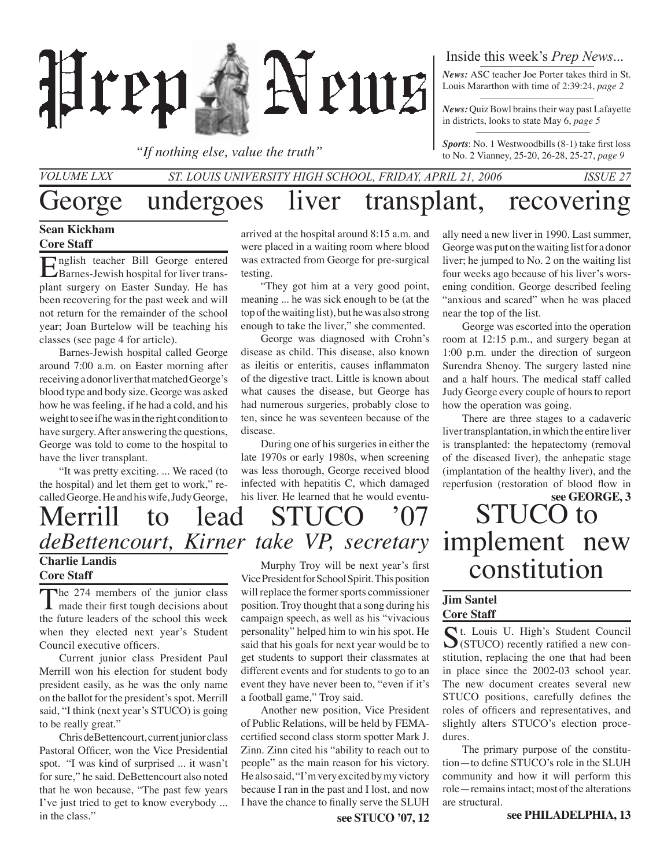

*"If nothing else, value the truth"*

## Inside this week's *Prep News*...

*News:* ASC teacher Joe Porter takes third in St. Louis Mararthon with time of 2:39:24, *page 2*

*News:* Quiz Bowl brains their way past Lafayette in districts, looks to state May 6, *page 5*

*Sports*: No. 1 Westwoodbills (8-1) take first loss to No. 2 Vianney, 25-20, 26-28, 25-27, *page 9*

## George undergoes liver transplant, recovering *St. Louis University High School, Friday, April 21, 2006 Issue 27 Volume LXX*

### **Sean Kickham Core Staff**

English teacher Bill George entered Barnes-Jewish hospital for liver transplant surgery on Easter Sunday. He has been recovering for the past week and will not return for the remainder of the school year; Joan Burtelow will be teaching his classes (see page 4 for article).

Barnes-Jewish hospital called George around 7:00 a.m. on Easter morning after receiving a donor liver that matched George's blood type and body size. George was asked how he was feeling, if he had a cold, and his weight to see if he was in the right condition to have surgery. After answering the questions, George was told to come to the hospital to have the liver transplant.

"It was pretty exciting. ... We raced (to the hospital) and let them get to work," recalled George. He and his wife, Judy George,

arrived at the hospital around 8:15 a.m. and were placed in a waiting room where blood was extracted from George for pre-surgical testing.

"They got him at a very good point, meaning ... he was sick enough to be (at the top of the waiting list), but he was also strong enough to take the liver," she commented.

George was diagnosed with Crohn's disease as child. This disease, also known as ileitis or enteritis, causes inflammaton of the digestive tract. Little is known about what causes the disease, but George has had numerous surgeries, probably close to ten, since he was seventeen because of the disease.

During one of his surgeries in either the late 1970s or early 1980s, when screening was less thorough, George received blood infected with hepatitis C, which damaged his liver. He learned that he would eventu-

# Merrill to lead STUCO '07 **Charlie Landis** *deBettencourt, Kirner take VP, secretary*

# **Core Staff**

The 274 members of the junior class<br>made their first tough decisions about the future leaders of the school this week when they elected next year's Student Council executive officers.

Current junior class President Paul Merrill won his election for student body president easily, as he was the only name on the ballot for the president's spot. Merrill said, "I think (next year's STUCO) is going to be really great."

Chris deBettencourt, current junior class Pastoral Officer, won the Vice Presidential spot. "I was kind of surprised ... it wasn't for sure," he said. DeBettencourt also noted that he won because, "The past few years I've just tried to get to know everybody ... in the class."

Murphy Troy will be next year's first Vice President for School Spirit. This position will replace the former sports commissioner position. Troy thought that a song during his campaign speech, as well as his "vivacious personality" helped him to win his spot. He said that his goals for next year would be to get students to support their classmates at different events and for students to go to an event they have never been to, "even if it's a football game," Troy said.

Another new position, Vice President of Public Relations, will be held by FEMAcertified second class storm spotter Mark J. Zinn. Zinn cited his "ability to reach out to people" as the main reason for his victory. He also said, "I'm very excited by my victory because I ran in the past and I lost, and now I have the chance to finally serve the SLUH

**see STUCO '07, 12**

ally need a new liver in 1990. Last summer, George was put on the waiting list for a donor liver; he jumped to No. 2 on the waiting list four weeks ago because of his liver's worsening condition. George described feeling "anxious and scared" when he was placed near the top of the list.

George was escorted into the operation room at 12:15 p.m., and surgery began at 1:00 p.m. under the direction of surgeon Surendra Shenoy. The surgery lasted nine and a half hours. The medical staff called Judy George every couple of hours to report how the operation was going.

There are three stages to a cadaveric liver transplantation, in which the entire liver is transplanted: the hepatectomy (removal of the diseased liver), the anhepatic stage (implantation of the healthy liver), and the reperfusion (restoration of blood flow in

# STUCO to implement new constitution **see GEORGE, 3**

### **Jim Santel Core Staff**

St. Louis U. High's Student Council<br>
S(STUCO) recently ratified a new constitution, replacing the one that had been in place since the 2002-03 school year. The new document creates several new STUCO positions, carefully defines the roles of officers and representatives, and slightly alters STUCO's election procedures.

The primary purpose of the constitution—to define STUCO's role in the SLUH community and how it will perform this role—remains intact; most of the alterations are structural.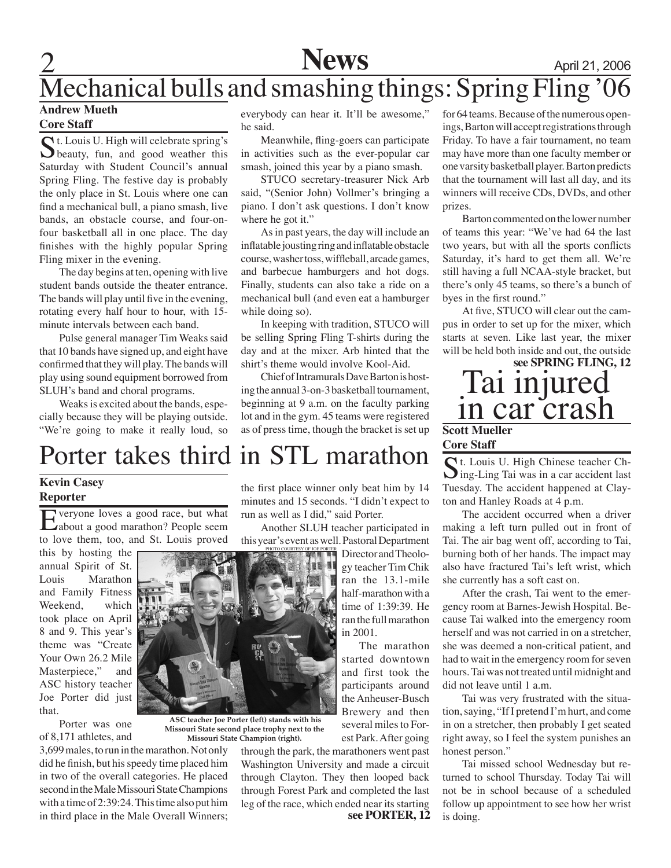# 2 **News** April 21, 2006 Mechanical bulls and smashing things: Spring Fling '06

#### **Andrew Mueth Core Staff**

 $\bigcap$  t. Louis U. High will celebrate spring's  $\bigcup$  beauty, fun, and good weather this Saturday with Student Council's annual Spring Fling. The festive day is probably the only place in St. Louis where one can find a mechanical bull, a piano smash, live bands, an obstacle course, and four-onfour basketball all in one place. The day finishes with the highly popular Spring Fling mixer in the evening.

The day begins at ten, opening with live student bands outside the theater entrance. The bands will play until five in the evening, rotating every half hour to hour, with 15 minute intervals between each band.

Pulse general manager Tim Weaks said that 10 bands have signed up, and eight have confirmed that they will play. The bands will play using sound equipment borrowed from SLUH's band and choral programs.

Weaks is excited about the bands, especially because they will be playing outside. "We're going to make it really loud, so everybody can hear it. It'll be awesome," he said.

Meanwhile, fling-goers can participate in activities such as the ever-popular car smash, joined this year by a piano smash.

STUCO secretary-treasurer Nick Arb said, "(Senior John) Vollmer's bringing a piano. I don't ask questions. I don't know where he got it."

As in past years, the day will include an inflatable jousting ring and inflatable obstacle course, washer toss, wiffleball, arcade games, and barbecue hamburgers and hot dogs. Finally, students can also take a ride on a mechanical bull (and even eat a hamburger while doing so).

In keeping with tradition, STUCO will be selling Spring Fling T-shirts during the day and at the mixer. Arb hinted that the shirt's theme would involve Kool-Aid.

Chief of Intramurals Dave Barton is hosting the annual 3-on-3 basketball tournament, beginning at 9 a.m. on the faculty parking lot and in the gym. 45 teams were registered as of press time, though the bracket is set up for 64 teams. Because of the numerous openings, Barton will accept registrations through Friday. To have a fair tournament, no team may have more than one faculty member or one varsity basketball player. Barton predicts that the tournament will last all day, and its winners will receive CDs, DVDs, and other prizes.

Barton commented on the lower number of teams this year: "We've had 64 the last two years, but with all the sports conflicts Saturday, it's hard to get them all. We're still having a full NCAA-style bracket, but there's only 45 teams, so there's a bunch of byes in the first round."

At five, STUCO will clear out the campus in order to set up for the mixer, which starts at seven. Like last year, the mixer will be held both inside and out, the outside

# Tai injured in car crash **Scott Mueller see SPRING FLING, 12**

## **Core Staff**

# St. Louis U. High Chinese teacher Ching-Ling Tai was in a car accident last Tuesday. The accident happened at Clayton and Hanley Roads at 4 p.m.

The accident occurred when a driver making a left turn pulled out in front of Tai. The air bag went off, according to Tai, burning both of her hands. The impact may also have fractured Tai's left wrist, which she currently has a soft cast on.

After the crash, Tai went to the emergency room at Barnes-Jewish Hospital. Because Tai walked into the emergency room herself and was not carried in on a stretcher, she was deemed a non-critical patient, and had to wait in the emergency room for seven hours. Tai was not treated until midnight and did not leave until 1 a.m.

Tai was very frustrated with the situation, saying, "If I pretend I'm hurt, and come in on a stretcher, then probably I get seated right away, so I feel the system punishes an honest person."

Tai missed school Wednesday but returned to school Thursday. Today Tai will not be in school because of a scheduled follow up appointment to see how her wrist is doing.

# Porter takes third in STL marathon

 **ASC teacher Joe Porter (left) stands with his Missouri State second place trophy next to the Missouri State Champion (right).**

### **Kevin Casey Reporter**

Everyone loves a good race, but what about a good marathon? People seem to love them, too, and St. Louis proved

this by hosting the annual Spirit of St. Louis Marathon and Family Fitness Weekend, which took place on April 8 and 9. This year's theme was "Create Your Own 26.2 Mile Masterpiece," and ASC history teacher Joe Porter did just that.

Porter was one of 8,171 athletes, and



the first place winner only beat him by 14 minutes and 15 seconds. "I didn't expect to run as well as I did," said Porter.

Another SLUH teacher participated in this year's event as well. Pastoral Department

photo courtesy of joe p

Director and Theology teacher Tim Chik ran the 13.1-mile half-marathon with a time of 1:39:39. He ran the full marathon in 2001.

The marathon started downtown

and first took the participants around the Anheuser-Busch Brewery and then several miles to Forest Park. After going

**see PORTER, 12** through the park, the marathoners went past Washington University and made a circuit through Clayton. They then looped back through Forest Park and completed the last leg of the race, which ended near its starting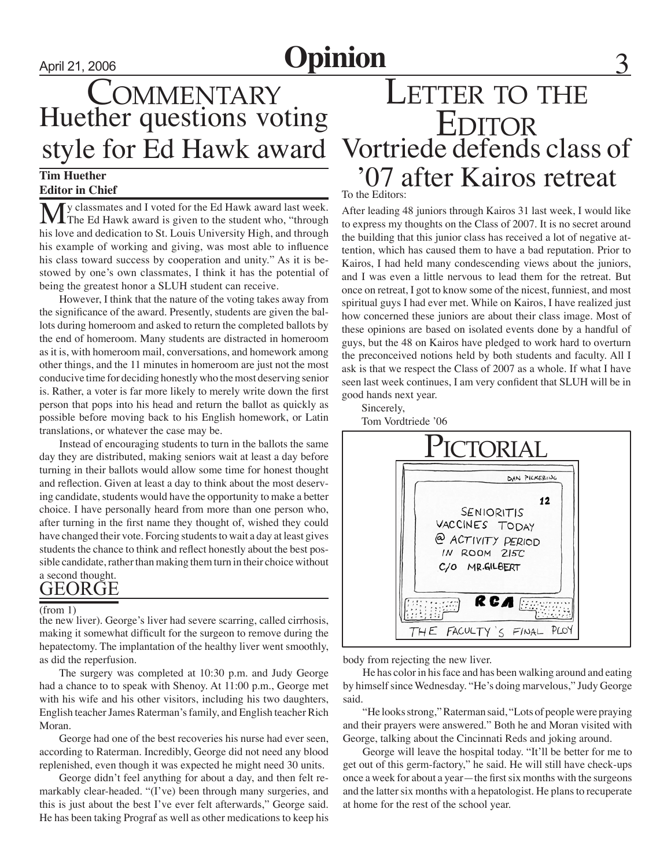# April 21, 2006 **Opinion**

# Huether questions voting COMMENTARY

#### **Tim Huether Editor in Chief**

My classmates and I voted for the Ed Hawk award last week.<br>The Ed Hawk award is given to the student who, "through his love and dedication to St. Louis University High, and through his example of working and giving, was most able to influence his class toward success by cooperation and unity." As it is bestowed by one's own classmates, I think it has the potential of being the greatest honor a SLUH student can receive.

However, I think that the nature of the voting takes away from the significance of the award. Presently, students are given the ballots during homeroom and asked to return the completed ballots by the end of homeroom. Many students are distracted in homeroom as it is, with homeroom mail, conversations, and homework among other things, and the 11 minutes in homeroom are just not the most conducive time for deciding honestly who the most deserving senior is. Rather, a voter is far more likely to merely write down the first person that pops into his head and return the ballot as quickly as possible before moving back to his English homework, or Latin translations, or whatever the case may be.

Instead of encouraging students to turn in the ballots the same day they are distributed, making seniors wait at least a day before turning in their ballots would allow some time for honest thought and reflection. Given at least a day to think about the most deserving candidate, students would have the opportunity to make a better choice. I have personally heard from more than one person who, after turning in the first name they thought of, wished they could have changed their vote. Forcing students to wait a day at least gives students the chance to think and reflect honestly about the best possible candidate, rather than making them turn in their choice without a second thought.

# GEORGE

#### (from 1)

the new liver). George's liver had severe scarring, called cirrhosis, making it somewhat difficult for the surgeon to remove during the hepatectomy. The implantation of the healthy liver went smoothly, as did the reperfusion.

The surgery was completed at 10:30 p.m. and Judy George had a chance to to speak with Shenoy. At 11:00 p.m., George met with his wife and his other visitors, including his two daughters, English teacher James Raterman's family, and English teacher Rich Moran.

George had one of the best recoveries his nurse had ever seen, according to Raterman. Incredibly, George did not need any blood replenished, even though it was expected he might need 30 units.

George didn't feel anything for about a day, and then felt remarkably clear-headed. "(I've) been through many surgeries, and this is just about the best I've ever felt afterwards," George said. He has been taking Prograf as well as other medications to keep his

# style for Ed Hawk award Vortriede defends class of '07 after Kairos retreat LETTER TO THE **EDITOR**

To the Editors:

After leading 48 juniors through Kairos 31 last week, I would like to express my thoughts on the Class of 2007. It is no secret around the building that this junior class has received a lot of negative attention, which has caused them to have a bad reputation. Prior to Kairos, I had held many condescending views about the juniors, and I was even a little nervous to lead them for the retreat. But once on retreat, I got to know some of the nicest, funniest, and most spiritual guys I had ever met. While on Kairos, I have realized just how concerned these juniors are about their class image. Most of these opinions are based on isolated events done by a handful of guys, but the 48 on Kairos have pledged to work hard to overturn the preconceived notions held by both students and faculty. All I ask is that we respect the Class of 2007 as a whole. If what I have seen last week continues, I am very confident that SLUH will be in good hands next year.

Sincerely,

Tom Vordtriede '06



body from rejecting the new liver.

He has color in his face and has been walking around and eating by himself since Wednesday. "He's doing marvelous," Judy George said.

"He looks strong," Raterman said, "Lots of people were praying and their prayers were answered." Both he and Moran visited with George, talking about the Cincinnati Reds and joking around.

George will leave the hospital today. "It'll be better for me to get out of this germ-factory," he said. He will still have check-ups once a week for about a year—the first six months with the surgeons and the latter six months with a hepatologist. He plans to recuperate at home for the rest of the school year.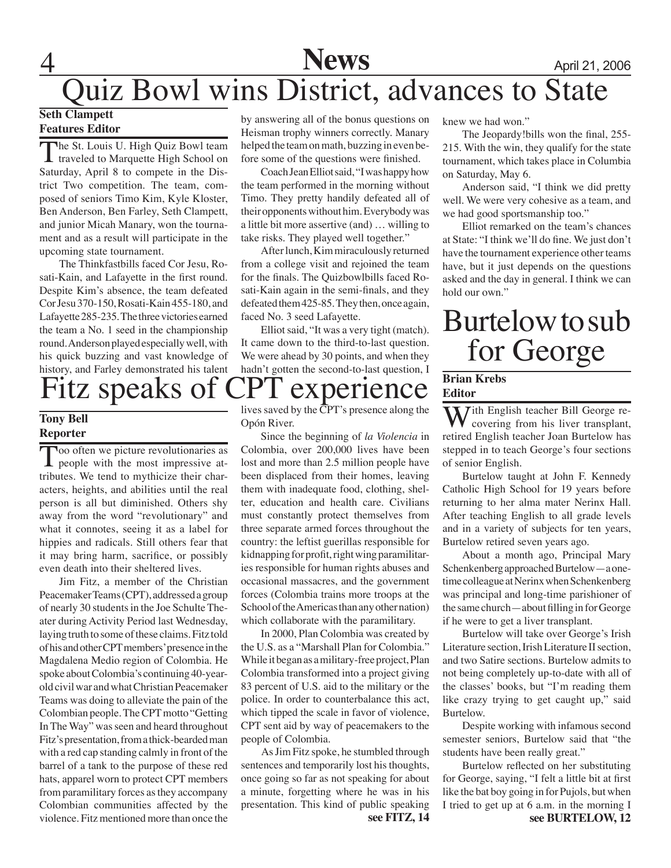# 4 **News** April 21, 2006 Quiz Bowl wins District, advances to State

#### **Seth Clampett Features Editor**

The St. Louis U. High Quiz Bowl team<br>traveled to Marquette High School on Saturday, April 8 to compete in the District Two competition. The team, composed of seniors Timo Kim, Kyle Kloster, Ben Anderson, Ben Farley, Seth Clampett, and junior Micah Manary, won the tournament and as a result will participate in the upcoming state tournament.

The Thinkfastbills faced Cor Jesu, Rosati-Kain, and Lafayette in the first round. Despite Kim's absence, the team defeated Cor Jesu 370-150, Rosati-Kain 455-180, and Lafayette 285-235. The three victories earned the team a No. 1 seed in the championship round. Anderson played especially well, with his quick buzzing and vast knowledge of history, and Farley demonstrated his talent

# Fitz speaks of CPT experience

### **Tony Bell Reporter**

Too often we picture revolutionaries as<br>
people with the most impressive attributes. We tend to mythicize their characters, heights, and abilities until the real person is all but diminished. Others shy away from the word "revolutionary" and what it connotes, seeing it as a label for hippies and radicals. Still others fear that it may bring harm, sacrifice, or possibly even death into their sheltered lives.

Jim Fitz, a member of the Christian Peacemaker Teams (CPT), addressed a group of nearly 30 students in the Joe Schulte Theater during Activity Period last Wednesday, laying truth to some of these claims. Fitz told of his and other CPT members' presence in the Magdalena Medio region of Colombia. He spoke about Colombia's continuing 40-yearold civil war and what Christian Peacemaker Teams was doing to alleviate the pain of the Colombian people. The CPT motto "Getting In The Way" was seen and heard throughout Fitz's presentation, from a thick-bearded man with a red cap standing calmly in front of the barrel of a tank to the purpose of these red hats, apparel worn to protect CPT members from paramilitary forces as they accompany Colombian communities affected by the violence. Fitz mentioned more than once the

by answering all of the bonus questions on Heisman trophy winners correctly. Manary helped the team on math, buzzing in even before some of the questions were finished.

Coach Jean Elliot said, "I was happy how the team performed in the morning without Timo. They pretty handily defeated all of their opponents without him. Everybody was a little bit more assertive (and) … willing to take risks. They played well together."

After lunch, Kim miraculously returned from a college visit and rejoined the team for the finals. The Quizbowlbills faced Rosati-Kain again in the semi-finals, and they defeated them 425-85. They then, once again, faced No. 3 seed Lafayette.

Elliot said, "It was a very tight (match). It came down to the third-to-last question. We were ahead by 30 points, and when they hadn't gotten the second-to-last question, I

lives saved by the CPT's presence along the Opón River.

Since the beginning of *la Violencia* in Colombia, over 200,000 lives have been lost and more than 2.5 million people have been displaced from their homes, leaving them with inadequate food, clothing, shelter, education and health care. Civilians must constantly protect themselves from three separate armed forces throughout the country: the leftist guerillas responsible for kidnapping for profit, right wing paramilitaries responsible for human rights abuses and occasional massacres, and the government forces (Colombia trains more troops at the School of the Americas than any other nation) which collaborate with the paramilitary.

In 2000, Plan Colombia was created by the U.S. as a "Marshall Plan for Colombia." While it began as a military-free project, Plan Colombia transformed into a project giving 83 percent of U.S. aid to the military or the police. In order to counterbalance this act, which tipped the scale in favor of violence, CPT sent aid by way of peacemakers to the people of Colombia.

 As Jim Fitz spoke, he stumbled through sentences and temporarily lost his thoughts, once going so far as not speaking for about a minute, forgetting where he was in his presentation. This kind of public speaking

knew we had won."

The Jeopardy!bills won the final, 255- 215. With the win, they qualify for the state tournament, which takes place in Columbia on Saturday, May 6.

Anderson said, "I think we did pretty well. We were very cohesive as a team, and we had good sportsmanship too."

Elliot remarked on the team's chances at State: "I think we'll do fine. We just don't have the tournament experience other teams have, but it just depends on the questions asked and the day in general. I think we can hold our own."

# Burtelow to sub for George

### **Brian Krebs Editor**

With English teacher Bill George recovering from his liver transplant, retired English teacher Joan Burtelow has stepped in to teach George's four sections of senior English.

Burtelow taught at John F. Kennedy Catholic High School for 19 years before returning to her alma mater Nerinx Hall. After teaching English to all grade levels and in a variety of subjects for ten years, Burtelow retired seven years ago.

About a month ago, Principal Mary Schenkenberg approached Burtelow—a onetime colleague at Nerinx when Schenkenberg was principal and long-time parishioner of the same church—about filling in for George if he were to get a liver transplant.

Burtelow will take over George's Irish Literature section, Irish Literature II section, and two Satire sections. Burtelow admits to not being completely up-to-date with all of the classes' books, but "I'm reading them like crazy trying to get caught up," said Burtelow.

Despite working with infamous second semester seniors, Burtelow said that "the students have been really great."

Burtelow reflected on her substituting for George, saying, "I felt a little bit at first like the bat boy going in for Pujols, but when I tried to get up at 6 a.m. in the morning I **see FITZ, 14 see BURTELOW, 12**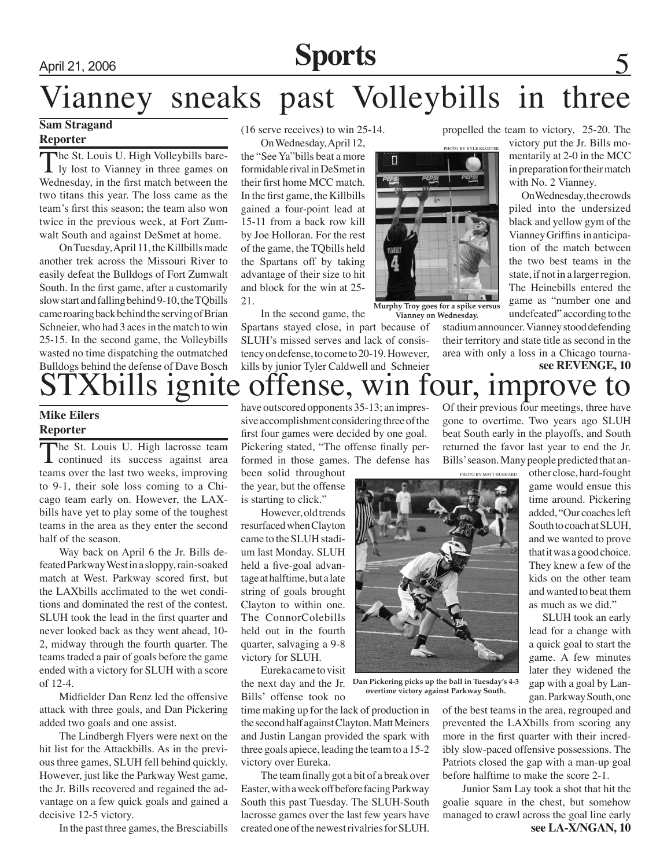# April 21, 2006 **Sports** 5

# Vianney sneaks past Volleybills in three

## **Sam Stragand**

### **Reporter**

The St. Louis U. High Volleybills bare-<br>ly lost to Vianney in three games on Wednesday, in the first match between the two titans this year. The loss came as the team's first this season; the team also won twice in the previous week, at Fort Zumwalt South and against DeSmet at home.

On Tuesday, April 11, the Killbills made another trek across the Missouri River to easily defeat the Bulldogs of Fort Zumwalt South. In the first game, after a customarily slow start and falling behind 9-10, the TQbills came roaring back behind the serving of Brian Schneier, who had 3 aces in the match to win 25-15. In the second game, the Volleybills wasted no time dispatching the outmatched Bulldogs behind the defense of Dave Bosch

(16 serve receives) to win 25-14. On Wednesday, April 12,

the "See Ya"bills beat a more formidable rival in DeSmet in their first home MCC match. In the first game, the Killbills gained a four-point lead at 15-11 from a back row kill by Joe Holloran. For the rest of the game, the TQbills held the Spartans off by taking advantage of their size to hit and block for the win at 25- 21.

In the second game, the Spartans stayed close, in part because of SLUH's missed serves and lack of consistency on defense, to come to 20-19. However, kills by junior Tyler Caldwell and Schneier propelled the team to victory, 25-20. The

victory put the Jr. Bills momentarily at 2-0 in the MCC in preparation for their match with No. 2 Vianney.

On Wednesday, the crowds piled into the undersized black and yellow gym of the Vianney Griffins in anticipation of the match between the two best teams in the state, if not in a larger region. The Heinebills entered the game as "number one and undefeated" according to the

stadium announcer. Vianney stood defending their territory and state title as second in the area with only a loss in a Chicago tourna**see REVENGE, 10**



**Murphy Troy goes for a spike versus Vianney on Wednesday.**

# Thills ignite offense, win four, improve

### **Mike Eilers Reporter**

The St. Louis U. High lacrosse team **L** continued its success against area teams over the last two weeks, improving to 9-1, their sole loss coming to a Chicago team early on. However, the LAXbills have yet to play some of the toughest teams in the area as they enter the second half of the season.

Way back on April 6 the Jr. Bills defeated Parkway West in a sloppy, rain-soaked match at West. Parkway scored first, but the LAXbills acclimated to the wet conditions and dominated the rest of the contest. SLUH took the lead in the first quarter and never looked back as they went ahead, 10- 2, midway through the fourth quarter. The teams traded a pair of goals before the game ended with a victory for SLUH with a score of 12-4.

Midfielder Dan Renz led the offensive attack with three goals, and Dan Pickering added two goals and one assist.

The Lindbergh Flyers were next on the hit list for the Attackbills. As in the previous three games, SLUH fell behind quickly. However, just like the Parkway West game, the Jr. Bills recovered and regained the advantage on a few quick goals and gained a decisive 12-5 victory.

In the past three games, the Bresciabills

have outscored opponents 35-13; an impressive accomplishment considering three of the first four games were decided by one goal. Pickering stated, "The offense finally performed in those games. The defense has

been solid throughout the year, but the offense is starting to click."

However, old trends resurfaced when Clayton came to the SLUH stadium last Monday. SLUH held a five-goal advantage at halftime, but a late string of goals brought Clayton to within one. The ConnorColebills held out in the fourth quarter, salvaging a 9-8 victory for SLUH.

Eureka came to visit the next day and the Jr. Bills' offense took no

time making up for the lack of production in the second half against Clayton. Matt Meiners and Justin Langan provided the spark with three goals apiece, leading the team to a 15-2 victory over Eureka.

The team finally got a bit of a break over Easter, with a week off before facing Parkway South this past Tuesday. The SLUH-South lacrosse games over the last few years have created one of the newest rivalries for SLUH.

Of their previous four meetings, three have gone to overtime. Two years ago SLUH beat South early in the playoffs, and South returned the favor last year to end the Jr. Bills' season. Many people predicted that an-

PHOTO BY MATT HU

**Dan Pickering picks up the ball in Tuesday's 4-3 overtime victory against Parkway South.**

other close, hard-fought game would ensue this time around. Pickering added, "Our coaches left South to coach at SLUH, and we wanted to prove that it was a good choice. They knew a few of the kids on the other team and wanted to beat them as much as we did."

 SLUH took an early lead for a change with a quick goal to start the game. A few minutes later they widened the gap with a goal by Langan. Parkway South, one

of the best teams in the area, regrouped and prevented the LAXbills from scoring any more in the first quarter with their incredibly slow-paced offensive possessions. The Patriots closed the gap with a man-up goal before halftime to make the score 2-1.

Junior Sam Lay took a shot that hit the goalie square in the chest, but somehow managed to crawl across the goal line early **see LA-X/NGAN, 10**

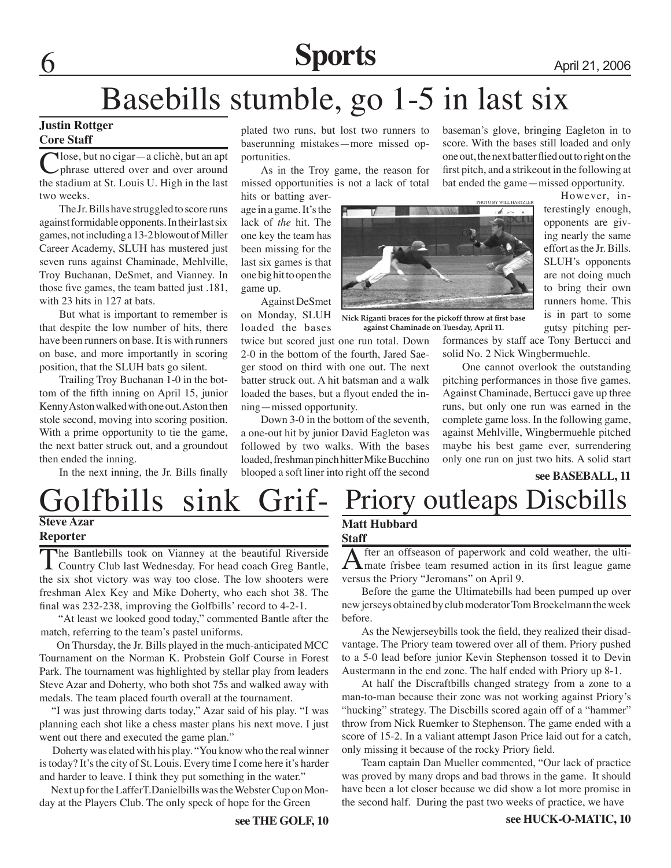# **6 Sports** April 21, 2006

# Basebills stumble, go 1-5 in last six

#### **Justin Rottger Core Staff**

Vlose, but no cigar—a clichè, but an apt phrase uttered over and over around the stadium at St. Louis U. High in the last two weeks.

The Jr. Bills have struggled to score runs against formidable opponents. In their last six games, not including a 13-2 blowout of Miller Career Academy, SLUH has mustered just seven runs against Chaminade, Mehlville, Troy Buchanan, DeSmet, and Vianney. In those five games, the team batted just .181, with 23 hits in 127 at bats.

But what is important to remember is that despite the low number of hits, there have been runners on base. It is with runners on base, and more importantly in scoring position, that the SLUH bats go silent.

Trailing Troy Buchanan 1-0 in the bottom of the fifth inning on April 15, junior Kenny Aston walked with one out. Aston then stole second, moving into scoring position. With a prime opportunity to tie the game, the next batter struck out, and a groundout then ended the inning.

In the next inning, the Jr. Bills finally

plated two runs, but lost two runners to baserunning mistakes—more missed opportunities.

As in the Troy game, the reason for missed opportunities is not a lack of total hits or batting aver-

age in a game. It's the lack of *the* hit. The one key the team has been missing for the last six games is that one big hit to open the game up.

Against DeSmet on Monday, SLUH loaded the bases

twice but scored just one run total. Down 2-0 in the bottom of the fourth, Jared Saeger stood on third with one out. The next batter struck out. A hit batsman and a walk loaded the bases, but a flyout ended the inning—missed opportunity.

Down 3-0 in the bottom of the seventh, a one-out hit by junior David Eagleton was followed by two walks. With the bases loaded, freshman pinch hitter Mike Bucchino blooped a soft liner into right off the second



**Nick Riganti braces for the pickoff throw at first base against Chaminade on Tuesday, April 11.**

baseman's glove, bringing Eagleton in to score. With the bases still loaded and only one out, the next batter flied out to right on the first pitch, and a strikeout in the following at bat ended the game—missed opportunity.

> However, interestingly enough, opponents are giving nearly the same effort as the Jr. Bills. SLUH's opponents are not doing much to bring their own runners home. This is in part to some gutsy pitching per-

formances by staff ace Tony Bertucci and solid No. 2 Nick Wingbermuehle.

One cannot overlook the outstanding pitching performances in those five games. Against Chaminade, Bertucci gave up three runs, but only one run was earned in the complete game loss. In the following game, against Mehlville, Wingbermuehle pitched maybe his best game ever, surrendering only one run on just two hits. A solid start

### **see BASEBALL, 11**

# Golfbills sink Grif- **Steve Azar Reporter**

The Bantlebills took on Vianney at the beautiful Riverside **L** Country Club last Wednesday. For head coach Greg Bantle, the six shot victory was way too close. The low shooters were freshman Alex Key and Mike Doherty, who each shot 38. The final was 232-238, improving the Golfbills' record to 4-2-1.

"At least we looked good today," commer<br>match, referring to the team's pastel uniforms. "At least we looked good today," commented Bantle after the

 On Thursday, the Jr. Bills played in the much-anticipated MCC Tournament on the Norman K. Probstein Golf Course in Forest Park. The tournament was highlighted by stellar play from leaders Steve Azar and Doherty, who both shot 75s and walked away with medals. The team placed fourth overall at the tournament.

 "I was just throwing darts today," Azar said of his play. "I was planning each shot like a chess master plans his next move. I just went out there and executed the game plan."

 Doherty was elated with his play. "You know who the real winner is today? It's the city of St. Louis. Every time I come here it's harder and harder to leave. I think they put something in the water."

 Next up for the LafferT.Danielbills was the Webster Cup on Monday at the Players Club. The only speck of hope for the Green

## **Matt Hubbard Staff**

After an offseason of paperwork and cold weather, the ulti-<br>mate frisbee team resumed action in its first league game versus the Priory "Jeromans" on April 9.

Priory outleaps Discbills

Before the game the Ultimatebills had been pumped up over new jerseys obtained by club moderator Tom Broekelmann the week before.

As the Newjerseybills took the field, they realized their disadvantage. The Priory team towered over all of them. Priory pushed to a 5-0 lead before junior Kevin Stephenson tossed it to Devin Austermann in the end zone. The half ended with Priory up 8-1.

At half the Discraftbills changed strategy from a zone to a man-to-man because their zone was not working against Priory's "hucking" strategy. The Discbills scored again off of a "hammer" throw from Nick Ruemker to Stephenson. The game ended with a score of 15-2. In a valiant attempt Jason Price laid out for a catch, only missing it because of the rocky Priory field.

Team captain Dan Mueller commented, "Our lack of practice was proved by many drops and bad throws in the game. It should have been a lot closer because we did show a lot more promise in the second half. During the past two weeks of practice, we have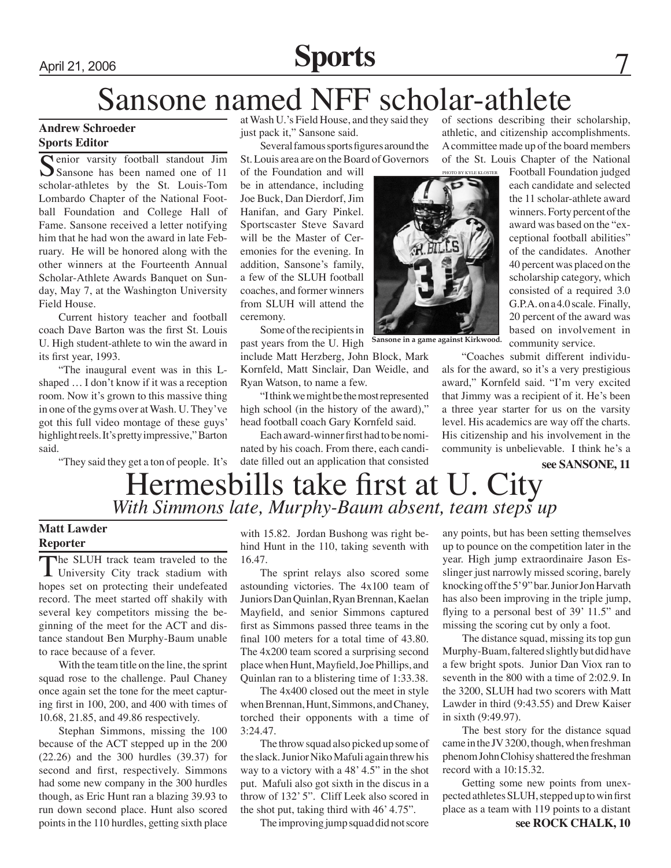# April 21, 2006 **Sports** 7

# Sansone named NFF scholar-athlete

### **Andrew Schroeder Sports Editor**

Senior varsity football standout Jim Sansone has been named one of 11 scholar-athletes by the St. Louis-Tom Lombardo Chapter of the National Football Foundation and College Hall of Fame. Sansone received a letter notifying him that he had won the award in late February. He will be honored along with the other winners at the Fourteenth Annual Scholar-Athlete Awards Banquet on Sunday, May 7, at the Washington University Field House.

Current history teacher and football coach Dave Barton was the first St. Louis U. High student-athlete to win the award in its first year, 1993.

"The inaugural event was in this Lshaped … I don't know if it was a reception room. Now it's grown to this massive thing in one of the gyms over at Wash. U. They've got this full video montage of these guys' highlight reels. It's pretty impressive," Barton said.

"They said they get a ton of people. It's

at Wash U.'s Field House, and they said they just pack it," Sansone said.

Several famous sports figures around the St. Louis area are on the Board of Governors

of the Foundation and will be in attendance, including Joe Buck, Dan Dierdorf, Jim Hanifan, and Gary Pinkel. Sportscaster Steve Savard will be the Master of Ceremonies for the evening. In addition, Sansone's family, a few of the SLUH football coaches, and former winners from SLUH will attend the ceremony.

Some of the recipients in past years from the U. High

include Matt Herzberg, John Block, Mark Kornfeld, Matt Sinclair, Dan Weidle, and Ryan Watson, to name a few.

"I think we might be the most represented high school (in the history of the award)," head football coach Gary Kornfeld said.

Each award-winner first had to be nominated by his coach. From there, each candidate filled out an application that consisted of sections describing their scholarship, athletic, and citizenship accomplishments. A committee made up of the board members of the St. Louis Chapter of the National Football Foundation judged

> each candidate and selected the 11 scholar-athlete award winners. Forty percent of the award was based on the "exceptional football abilities" of the candidates. Another 40 percent was placed on the scholarship category, which consisted of a required 3.0 G.P.A. on a 4.0 scale. Finally, 20 percent of the award was based on involvement in

**Sansone in a game against Kirkwood.**

"Coaches submit different individuals for the award, so it's a very prestigious award," Kornfeld said. "I'm very excited that Jimmy was a recipient of it. He's been a three year starter for us on the varsity level. His academics are way off the charts. His citizenship and his involvement in the community is unbelievable. I think he's a

community service.

#### **see SANSONE, 11**

# Hermesbills take first at U. City *With Simmons late, Murphy-Baum absent, team steps up*

### **Matt Lawder Reporter**

The SLUH track team traveled to the University City track stadium with hopes set on protecting their undefeated record. The meet started off shakily with several key competitors missing the beginning of the meet for the ACT and distance standout Ben Murphy-Baum unable to race because of a fever.

With the team title on the line, the sprint squad rose to the challenge. Paul Chaney once again set the tone for the meet capturing first in 100, 200, and 400 with times of 10.68, 21.85, and 49.86 respectively.

Stephan Simmons, missing the 100 because of the ACT stepped up in the 200 (22.26) and the 300 hurdles (39.37) for second and first, respectively. Simmons had some new company in the 300 hurdles though, as Eric Hunt ran a blazing 39.93 to run down second place. Hunt also scored points in the 110 hurdles, getting sixth place

with 15.82. Jordan Bushong was right behind Hunt in the 110, taking seventh with 16.47.

The sprint relays also scored some astounding victories. The 4x100 team of Juniors Dan Quinlan, Ryan Brennan, Kaelan Mayfield, and senior Simmons captured first as Simmons passed three teams in the final 100 meters for a total time of 43.80. The 4x200 team scored a surprising second place when Hunt, Mayfield, Joe Phillips, and Quinlan ran to a blistering time of 1:33.38.

The 4x400 closed out the meet in style when Brennan, Hunt, Simmons, and Chaney, torched their opponents with a time of 3:24.47.

The throw squad also picked up some of the slack. Junior Niko Mafuli again threw his way to a victory with a 48' 4.5" in the shot put. Mafuli also got sixth in the discus in a throw of 132' 5". Cliff Leek also scored in the shot put, taking third with 46' 4.75".

The improving jump squad did not score

any points, but has been setting themselves up to pounce on the competition later in the year. High jump extraordinaire Jason Esslinger just narrowly missed scoring, barely knocking off the 5' 9" bar. Junior Jon Harvath has also been improving in the triple jump, flying to a personal best of 39' 11.5" and missing the scoring cut by only a foot.

The distance squad, missing its top gun Murphy-Buam, faltered slightly but did have a few bright spots. Junior Dan Viox ran to seventh in the 800 with a time of 2:02.9. In the 3200, SLUH had two scorers with Matt Lawder in third (9:43.55) and Drew Kaiser in sixth (9:49.97).

The best story for the distance squad came in the JV 3200, though, when freshman phenom John Clohisy shattered the freshman record with a 10:15.32.

Getting some new points from unexpected athletes SLUH, stepped up to win first place as a team with 119 points to a distant

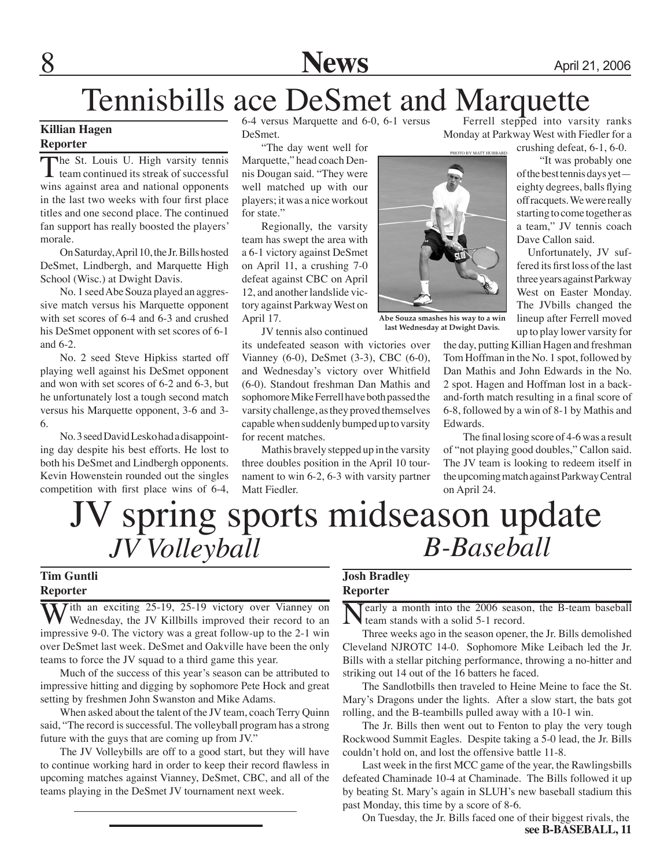

# Tennisbills ace DeSmet and Marquette

## **Killian Hagen**

### **Reporter**

The St. Louis U. High varsity tennis team continued its streak of successful wins against area and national opponents in the last two weeks with four first place titles and one second place. The continued fan support has really boosted the players' morale.

On Saturday, April 10, the Jr. Bills hosted DeSmet, Lindbergh, and Marquette High School (Wisc.) at Dwight Davis.

No. 1 seed Abe Souza played an aggressive match versus his Marquette opponent with set scores of 6-4 and 6-3 and crushed his DeSmet opponent with set scores of 6-1 and 6-2.

No. 2 seed Steve Hipkiss started off playing well against his DeSmet opponent and won with set scores of 6-2 and 6-3, but he unfortunately lost a tough second match versus his Marquette opponent, 3-6 and 3- 6.

No. 3 seed David Lesko had a disappointing day despite his best efforts. He lost to both his DeSmet and Lindbergh opponents. Kevin Howenstein rounded out the singles competition with first place wins of 6-4, 6-4 versus Marquette and 6-0, 6-1 versus DeSmet.

"The day went well for Marquette," head coach Dennis Dougan said. "They were well matched up with our players; it was a nice workout for state."

Regionally, the varsity team has swept the area with a 6-1 victory against DeSmet on April 11, a crushing 7-0 defeat against CBC on April 12, and another landslide victory against Parkway West on April 17.

JV tennis also continued

its undefeated season with victories over Vianney (6-0), DeSmet (3-3), CBC (6-0), and Wednesday's victory over Whitfield (6-0). Standout freshman Dan Mathis and sophomore Mike Ferrell have both passed the varsity challenge, as they proved themselves capable when suddenly bumped up to varsity for recent matches.

Mathis bravely stepped up in the varsity three doubles position in the April 10 tournament to win 6-2, 6-3 with varsity partner Matt Fiedler.

Ferrell stepped into varsity ranks Monday at Parkway West with Fiedler for a

crushing defeat, 6-1, 6-0.

 "It was probably one of the best tennis days yet eighty degrees, balls flying off racquets. We were really starting to come together as a team," JV tennis coach Dave Callon said.

 Unfortunately, JV suffered its first loss of the last three years against Parkway West on Easter Monday. The JVbills changed the lineup after Ferrell moved up to play lower varsity for

the day, putting Killian Hagen and freshman Tom Hoffman in the No. 1 spot, followed by Dan Mathis and John Edwards in the No. 2 spot. Hagen and Hoffman lost in a backand-forth match resulting in a final score of 6-8, followed by a win of 8-1 by Mathis and Edwards.

The final losing score of 4-6 was a result of "not playing good doubles," Callon said. The JV team is looking to redeem itself in the upcoming match against Parkway Central on April 24.

# V spring sports midseason update<br>*JV Volleyball*<br>B-Baseball *JV Volleyball B-Baseball*

### **Tim Guntli Reporter**

With an exciting 25-19, 25-19 victory over Vianney on Wednesday, the JV Killbills improved their record to an impressive 9-0. The victory was a great follow-up to the 2-1 win over DeSmet last week. DeSmet and Oakville have been the only teams to force the JV squad to a third game this year.

Much of the success of this year's season can be attributed to impressive hitting and digging by sophomore Pete Hock and great setting by freshmen John Swanston and Mike Adams.

When asked about the talent of the JV team, coach Terry Quinn said, "The record is successful. The volleyball program has a strong future with the guys that are coming up from JV."

The JV Volleybills are off to a good start, but they will have to continue working hard in order to keep their record flawless in upcoming matches against Vianney, DeSmet, CBC, and all of the teams playing in the DeSmet JV tournament next week.

### **Josh Bradley Reporter**

early a month into the 2006 season, the B-team baseball team stands with a solid 5-1 record.

Three weeks ago in the season opener, the Jr. Bills demolished Cleveland NJROTC 14-0. Sophomore Mike Leibach led the Jr. Bills with a stellar pitching performance, throwing a no-hitter and striking out 14 out of the 16 batters he faced.

The Sandlotbills then traveled to Heine Meine to face the St. Mary's Dragons under the lights. After a slow start, the bats got rolling, and the B-teambills pulled away with a 10-1 win.

The Jr. Bills then went out to Fenton to play the very tough Rockwood Summit Eagles. Despite taking a 5-0 lead, the Jr. Bills couldn't hold on, and lost the offensive battle 11-8.

Last week in the first MCC game of the year, the Rawlingsbills defeated Chaminade 10-4 at Chaminade. The Bills followed it up by beating St. Mary's again in SLUH's new baseball stadium this past Monday, this time by a score of 8-6.

On Tuesday, the Jr. Bills faced one of their biggest rivals, the **see B-BASEBALL, 11**



**Abe Souza smashes his way to a win last Wednesday at Dwight Davis.**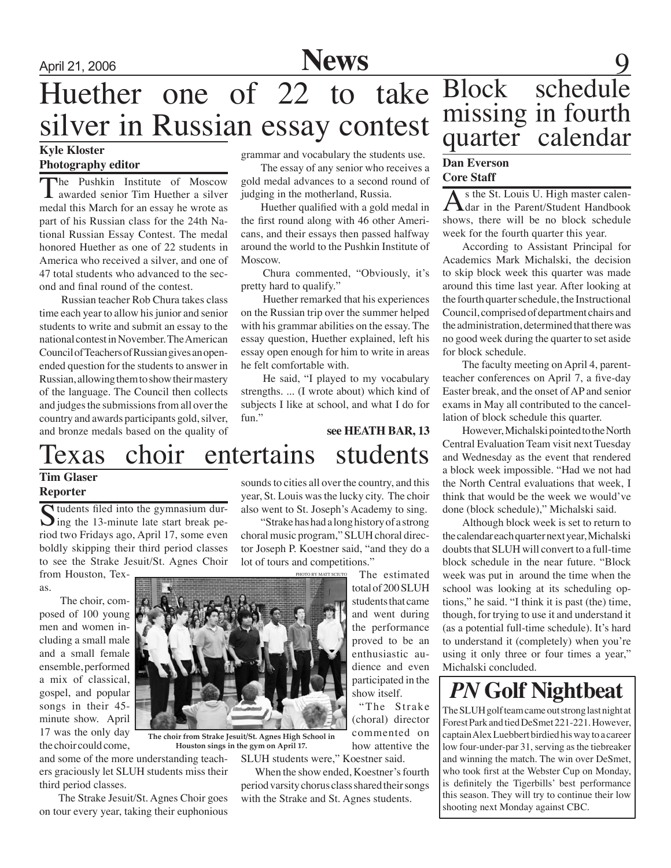# Huether one of 22 to take Block silver in Russian essay contest

### **Kyle Kloster Photography editor**

The Pushkin Institute of Moscow awarded senior Tim Huether a silver medal this March for an essay he wrote as part of his Russian class for the 24th National Russian Essay Contest. The medal honored Huether as one of 22 students in America who received a silver, and one of 47 total students who advanced to the second and final round of the contest.

 Russian teacher Rob Chura takes class time each year to allow his junior and senior students to write and submit an essay to the national contest in November. The American Council of Teachers of Russian gives an openended question for the students to answer in Russian, allowing them to show their mastery of the language. The Council then collects and judges the submissions from all over the country and awards participants gold, silver, and bronze medals based on the quality of

grammar and vocabulary the students use.

The essay of any senior who receives a gold medal advances to a second round of judging in the motherland, Russia.

Huether qualified with a gold medal in the first round along with 46 other Americans, and their essays then passed halfway around the world to the Pushkin Institute of Moscow.

 Chura commented, "Obviously, it's pretty hard to qualify."

 Huether remarked that his experiences on the Russian trip over the summer helped with his grammar abilities on the essay. The essay question, Huether explained, left his essay open enough for him to write in areas he felt comfortable with.

 He said, "I played to my vocabulary strengths. ... (I wrote about) which kind of subjects I like at school, and what I do for fun."

# Texas choir entertains students **see HEATH BAR, 13**

## **Tim Glaser Reporter**

Students filed into the gymnasium dur-<br>ing the 13-minute late start break period two Fridays ago, April 17, some even boldly skipping their third period classes to see the Strake Jesuit/St. Agnes Choir from Houston, Tex-

as.

 The choir, composed of 100 young men and women including a small male and a small female ensemble, performed a mix of classical, gospel, and popular songs in their 45 minute show. April 17 was the only day the choir could come,

sounds to cities all over the country, and this year, St. Louis was the lucky city. The choir also went to St. Joseph's Academy to sing.

"Strake has had a long history of a strong choral music program," SLUH choral director Joseph P. Koestner said, "and they do a lot of tours and competitions."

> The estimated total of 200 SLUH students that came and went during the performance proved to be an enthusiastic audience and even participated in the show itself.

"The Strake (choral) director commented on how attentive the

SLUH students were," Koestner said.

 When the show ended, Koestner's fourth period varsity chorus class shared their songs with the Strake and St. Agnes students.

# April 21, 2006 **News** 9 schedule missing in fourth<br>quarter calendar calendar

#### **Dan Everson Core Staff**

s the St. Louis U. High master calen**dar in the Parent/Student Handbook** shows, there will be no block schedule week for the fourth quarter this year.

According to Assistant Principal for Academics Mark Michalski, the decision to skip block week this quarter was made around this time last year. After looking at the fourth quarter schedule, the Instructional Council, comprised of department chairs and the administration, determined that there was no good week during the quarter to set aside for block schedule.

The faculty meeting on April 4, parentteacher conferences on April 7, a five-day Easter break, and the onset of AP and senior exams in May all contributed to the cancellation of block schedule this quarter.

However, Michalski pointed to the North Central Evaluation Team visit next Tuesday and Wednesday as the event that rendered a block week impossible. "Had we not had the North Central evaluations that week, I think that would be the week we would've done (block schedule)," Michalski said.

Although block week is set to return to the calendar each quarter next year, Michalski doubts that SLUH will convert to a full-time block schedule in the near future. "Block week was put in around the time when the school was looking at its scheduling options," he said. "I think it is past (the) time, though, for trying to use it and understand it (as a potential full-time schedule). It's hard to understand it (completely) when you're using it only three or four times a year," Michalski concluded.

# *PN* **Golf Nightbeat**

The SLUH golf team came out strong last night at Forest Park and tied DeSmet 221-221. However, captain Alex Luebbert birdied his way to a career low four-under-par 31, serving as the tiebreaker and winning the match. The win over DeSmet, who took first at the Webster Cup on Monday, is definitely the Tigerbills' best performance this season. They will try to continue their low shooting next Monday against CBC.



**The choir from Strake Jesuit/St. Agnes High School in Houston sings in the gym on April 17.**

and some of the more understanding teachers graciously let SLUH students miss their third period classes.

 The Strake Jesuit/St. Agnes Choir goes on tour every year, taking their euphonious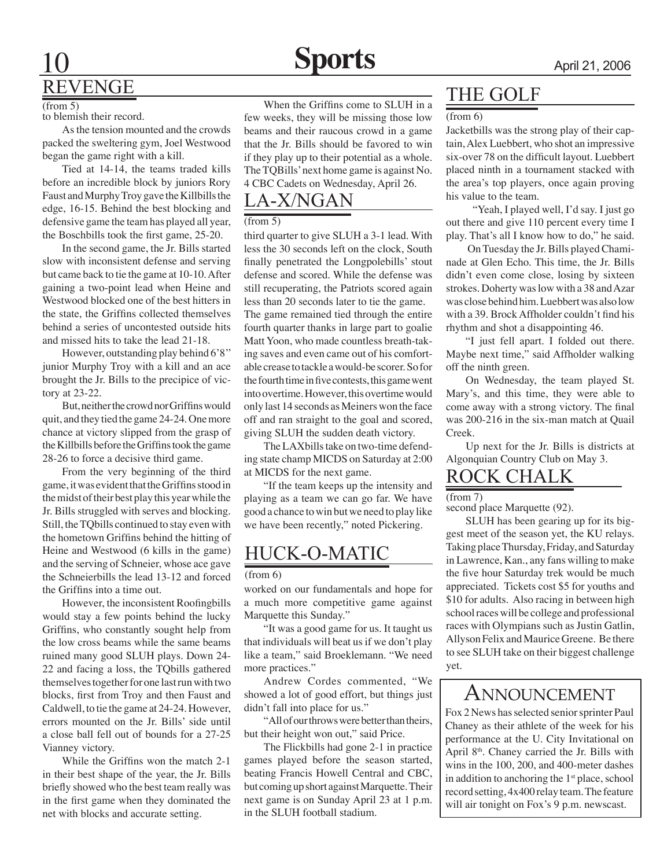$(from 5)$ 

to blemish their record.

As the tension mounted and the crowds packed the sweltering gym, Joel Westwood began the game right with a kill.

Tied at 14-14, the teams traded kills before an incredible block by juniors Rory Faust and Murphy Troy gave the Killbills the edge, 16-15. Behind the best blocking and defensive game the team has played all year, the Boschbills took the first game, 25-20.

In the second game, the Jr. Bills started slow with inconsistent defense and serving but came back to tie the game at 10-10. After gaining a two-point lead when Heine and Westwood blocked one of the best hitters in the state, the Griffins collected themselves behind a series of uncontested outside hits and missed hits to take the lead 21-18.

However, outstanding play behind 6'8'' junior Murphy Troy with a kill and an ace brought the Jr. Bills to the precipice of victory at 23-22.

But, neither the crowd nor Griffins would quit, and they tied the game 24-24. One more chance at victory slipped from the grasp of the Killbills before the Griffins took the game 28-26 to force a decisive third game.

From the very beginning of the third game, it was evident that the Griffins stood in the midst of their best play this year while the Jr. Bills struggled with serves and blocking. Still, the TQbills continued to stay even with the hometown Griffins behind the hitting of Heine and Westwood (6 kills in the game) and the serving of Schneier, whose ace gave the Schneierbills the lead 13-12 and forced the Griffins into a time out.

However, the inconsistent Roofingbills would stay a few points behind the lucky Griffins, who constantly sought help from the low cross beams while the same beams ruined many good SLUH plays. Down 24- 22 and facing a loss, the TQbills gathered themselves together for one last run with two blocks, first from Troy and then Faust and Caldwell, to tie the game at 24-24. However, errors mounted on the Jr. Bills' side until a close ball fell out of bounds for a 27-25 Vianney victory.

While the Griffins won the match 2-1 in their best shape of the year, the Jr. Bills briefly showed who the best team really was in the first game when they dominated the net with blocks and accurate setting.

When the Griffins come to SLUH in a few weeks, they will be missing those low beams and their raucous crowd in a game that the Jr. Bills should be favored to win if they play up to their potential as a whole. The TQBills' next home game is against No. 4 CBC Cadets on Wednesday, April 26.-

# LA-X/NGAN

### (from 5)

third quarter to give SLUH a 3-1 lead. With less the 30 seconds left on the clock, South finally penetrated the Longpolebills' stout defense and scored. While the defense was still recuperating, the Patriots scored again less than 20 seconds later to tie the game.

The game remained tied through the entire fourth quarter thanks in large part to goalie Matt Yoon, who made countless breath-taking saves and even came out of his comfortable crease to tackle a would-be scorer. So for the fourth time in five contests, this game went into overtime. However, this overtime would only last 14 seconds as Meiners won the face off and ran straight to the goal and scored, giving SLUH the sudden death victory.

The LAXbills take on two-time defending state champ MICDS on Saturday at 2:00 at MICDS for the next game.

"If the team keeps up the intensity and playing as a team we can go far. We have good a chance to win but we need to play like we have been recently," noted Pickering.

# HUCK-O-MATIC

#### (from 6)

worked on our fundamentals and hope for a much more competitive game against Marquette this Sunday."

"It was a good game for us. It taught us that individuals will beat us if we don't play like a team," said Broeklemann. "We need more practices."

Andrew Cordes commented, "We showed a lot of good effort, but things just didn't fall into place for us."

"All of our throws were better than theirs, but their height won out," said Price.

The Flickbills had gone 2-1 in practice games played before the season started, beating Francis Howell Central and CBC, but coming up short against Marquette. Their next game is on Sunday April 23 at 1 p.m. in the SLUH football stadium.

# THE Golf

#### (from 6)

Jacketbills was the strong play of their captain, Alex Luebbert, who shot an impressive six-over 78 on the difficult layout. Luebbert placed ninth in a tournament stacked with the area's top players, once again proving his value to the team.

 "Yeah, I played well, I'd say. I just go out there and give 110 percent every time I play. That's all I know how to do," he said.

 On Tuesday the Jr. Bills played Chaminade at Glen Echo. This time, the Jr. Bills didn't even come close, losing by sixteen strokes. Doherty was low with a 38 and Azar was close behind him. Luebbert was also low with a 39. Brock Affholder couldn't find his rhythm and shot a disappointing 46.

"I just fell apart. I folded out there. Maybe next time," said Affholder walking off the ninth green.

On Wednesday, the team played St. Mary's, and this time, they were able to come away with a strong victory. The final was 200-216 in the six-man match at Quail Creek.

Up next for the Jr. Bills is districts at Algonquian Country Club on May 3.

# ROCK Chalk

(from 7)

second place Marquette (92).

SLUH has been gearing up for its biggest meet of the season yet, the KU relays. Taking place Thursday, Friday, and Saturday in Lawrence, Kan., any fans willing to make the five hour Saturday trek would be much appreciated. Tickets cost \$5 for youths and \$10 for adults. Also racing in between high school races will be college and professional races with Olympians such as Justin Gatlin, Allyson Felix and Maurice Greene. Be there to see SLUH take on their biggest challenge yet.

# Announcement

Fox 2 News has selected senior sprinter Paul Chaney as their athlete of the week for his performance at the U. City Invitational on April 8th. Chaney carried the Jr. Bills with wins in the 100, 200, and 400-meter dashes in addition to anchoring the  $1<sup>st</sup>$  place, school record setting, 4x400 relay team. The feature will air tonight on Fox's 9 p.m. newscast.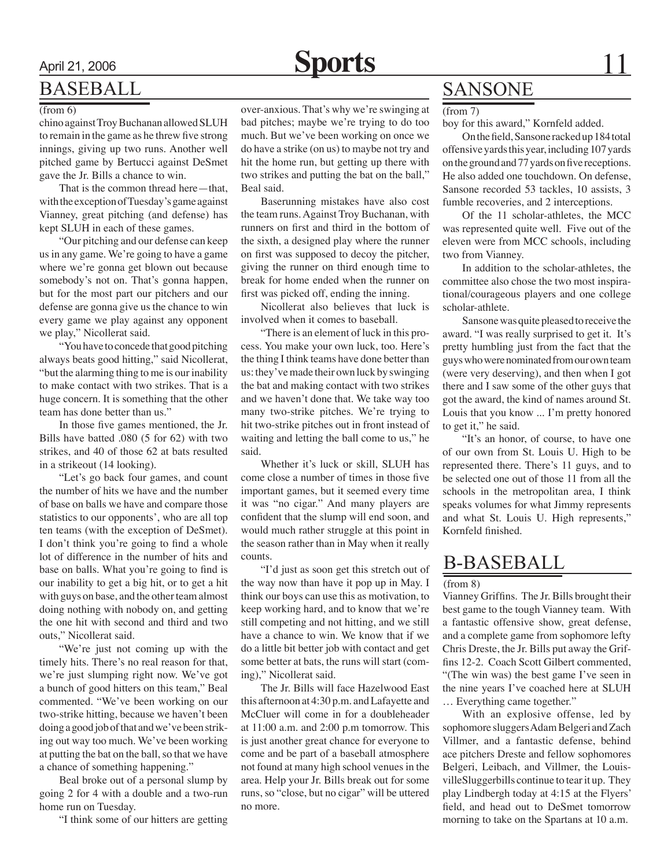# April 21, 2006 **Sports** 11

# BASEBALL

#### (from 6)

chino against Troy Buchanan allowed SLUH to remain in the game as he threw five strong innings, giving up two runs. Another well pitched game by Bertucci against DeSmet gave the Jr. Bills a chance to win.

That is the common thread here—that, with the exception of Tuesday's game against Vianney, great pitching (and defense) has kept SLUH in each of these games.

"Our pitching and our defense can keep us in any game. We're going to have a game where we're gonna get blown out because somebody's not on. That's gonna happen, but for the most part our pitchers and our defense are gonna give us the chance to win every game we play against any opponent we play," Nicollerat said.

"You have to concede that good pitching always beats good hitting," said Nicollerat, "but the alarming thing to me is our inability to make contact with two strikes. That is a huge concern. It is something that the other team has done better than us."

In those five games mentioned, the Jr. Bills have batted .080 (5 for 62) with two strikes, and 40 of those 62 at bats resulted in a strikeout (14 looking).

"Let's go back four games, and count the number of hits we have and the number of base on balls we have and compare those statistics to our opponents', who are all top ten teams (with the exception of DeSmet). I don't think you're going to find a whole lot of difference in the number of hits and base on balls. What you're going to find is our inability to get a big hit, or to get a hit with guys on base, and the other team almost doing nothing with nobody on, and getting the one hit with second and third and two outs," Nicollerat said.

"We're just not coming up with the timely hits. There's no real reason for that, we're just slumping right now. We've got a bunch of good hitters on this team," Beal commented. "We've been working on our two-strike hitting, because we haven't been doing a good job of that and we've been striking out way too much. We've been working at putting the bat on the ball, so that we have a chance of something happening."

Beal broke out of a personal slump by going 2 for 4 with a double and a two-run home run on Tuesday.

"I think some of our hitters are getting

over-anxious. That's why we're swinging at bad pitches; maybe we're trying to do too much. But we've been working on once we do have a strike (on us) to maybe not try and hit the home run, but getting up there with two strikes and putting the bat on the ball," Beal said.

Baserunning mistakes have also cost the team runs. Against Troy Buchanan, with runners on first and third in the bottom of the sixth, a designed play where the runner on first was supposed to decoy the pitcher, giving the runner on third enough time to break for home ended when the runner on first was picked off, ending the inning.

Nicollerat also believes that luck is involved when it comes to baseball.

"There is an element of luck in this process. You make your own luck, too. Here's the thing I think teams have done better than us: they've made their own luck by swinging the bat and making contact with two strikes and we haven't done that. We take way too many two-strike pitches. We're trying to hit two-strike pitches out in front instead of waiting and letting the ball come to us," he said.

Whether it's luck or skill, SLUH has come close a number of times in those five important games, but it seemed every time it was "no cigar." And many players are confident that the slump will end soon, and would much rather struggle at this point in the season rather than in May when it really counts.

"I'd just as soon get this stretch out of the way now than have it pop up in May. I think our boys can use this as motivation, to keep working hard, and to know that we're still competing and not hitting, and we still have a chance to win. We know that if we do a little bit better job with contact and get some better at bats, the runs will start (coming)," Nicollerat said.

The Jr. Bills will face Hazelwood East this afternoon at 4:30 p.m. and Lafayette and McCluer will come in for a doubleheader at 11:00 a.m. and 2:00 p.m tomorrow. This is just another great chance for everyone to come and be part of a baseball atmosphere not found at many high school venues in the area. Help your Jr. Bills break out for some runs, so "close, but no cigar" will be uttered no more.

# **SANSONE**

(from 7)

boy for this award," Kornfeld added.

On the field, Sansone racked up 184 total offensive yards this year, including 107 yards on the ground and 77 yards on five receptions. He also added one touchdown. On defense, Sansone recorded 53 tackles, 10 assists, 3 fumble recoveries, and 2 interceptions.

Of the 11 scholar-athletes, the MCC was represented quite well. Five out of the eleven were from MCC schools, including two from Vianney.

In addition to the scholar-athletes, the committee also chose the two most inspirational/courageous players and one college scholar-athlete.

Sansone was quite pleased to receive the award. "I was really surprised to get it. It's pretty humbling just from the fact that the guys who were nominated from our own team (were very deserving), and then when I got there and I saw some of the other guys that got the award, the kind of names around St. Louis that you know ... I'm pretty honored to get it," he said.

"It's an honor, of course, to have one of our own from St. Louis U. High to be represented there. There's 11 guys, and to be selected one out of those 11 from all the schools in the metropolitan area, I think speaks volumes for what Jimmy represents and what St. Louis U. High represents," Kornfeld finished.

# B-BASEBALL

#### (from 8)

Vianney Griffins. The Jr. Bills brought their best game to the tough Vianney team. With a fantastic offensive show, great defense, and a complete game from sophomore lefty Chris Dreste, the Jr. Bills put away the Griffins 12-2. Coach Scott Gilbert commented, "(The win was) the best game I've seen in the nine years I've coached here at SLUH … Everything came together."

With an explosive offense, led by sophomore sluggers Adam Belgeri and Zach Villmer, and a fantastic defense, behind ace pitchers Dreste and fellow sophomores Belgeri, Leibach, and Villmer, the LouisvilleSluggerbills continue to tear it up. They play Lindbergh today at 4:15 at the Flyers' field, and head out to DeSmet tomorrow morning to take on the Spartans at 10 a.m.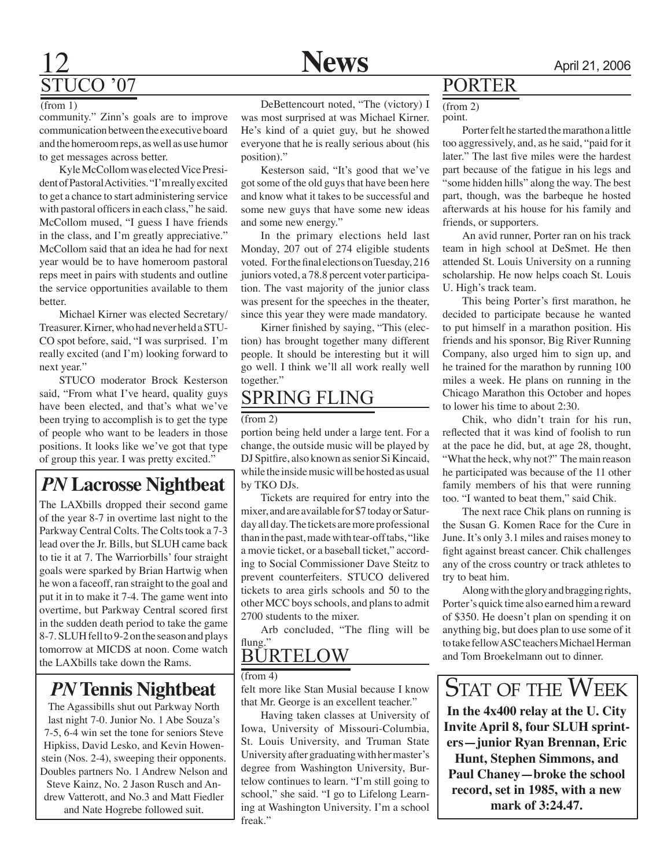# 12 **News** April 21, 2006 STUCO '07

#### $(from 1)$

community." Zinn's goals are to improve communication between the executive board and the homeroom reps, as well as use humor to get messages across better.

Kyle McCollom was elected Vice President of Pastoral Activities. "I'm really excited to get a chance to start administering service with pastoral officers in each class," he said. McCollom mused, "I guess I have friends in the class, and I'm greatly appreciative." McCollom said that an idea he had for next year would be to have homeroom pastoral reps meet in pairs with students and outline the service opportunities available to them better.

Michael Kirner was elected Secretary/ Treasurer. Kirner, who had never held a STU-CO spot before, said, "I was surprised. I'm really excited (and I'm) looking forward to next year."

STUCO moderator Brock Kesterson said, "From what I've heard, quality guys have been elected, and that's what we've been trying to accomplish is to get the type of people who want to be leaders in those positions. It looks like we've got that type of group this year. I was pretty excited."

*PN* **Lacrosse Nightbeat**

The LAXbills dropped their second game of the year 8-7 in overtime last night to the Parkway Central Colts. The Colts took a 7-3 lead over the Jr. Bills, but SLUH came back to tie it at 7. The Warriorbills' four straight goals were sparked by Brian Hartwig when he won a faceoff, ran straight to the goal and put it in to make it 7-4. The game went into overtime, but Parkway Central scored first in the sudden death period to take the game 8-7. SLUH fell to 9-2 on the season and plays tomorrow at MICDS at noon. Come watch the LAXbills take down the Rams.

The Agassibills shut out Parkway North last night 7-0. Junior No. 1 Abe Souza's 7-5, 6-4 win set the tone for seniors Steve Hipkiss, David Lesko, and Kevin Howenstein (Nos. 2-4), sweeping their opponents. Doubles partners No. 1 Andrew Nelson and Steve Kainz, No. 2 Jason Rusch and Andrew Vatterott, and No.3 and Matt Fiedler and Nate Hogrebe followed suit.

DeBettencourt noted, "The (victory) I was most surprised at was Michael Kirner. He's kind of a quiet guy, but he showed everyone that he is really serious about (his position)."

Kesterson said, "It's good that we've got some of the old guys that have been here and know what it takes to be successful and some new guys that have some new ideas and some new energy."

In the primary elections held last Monday, 207 out of 274 eligible students voted. For the final elections on Tuesday, 216 juniors voted, a 78.8 percent voter participation. The vast majority of the junior class was present for the speeches in the theater, since this year they were made mandatory.

Kirner finished by saying, "This (election) has brought together many different people. It should be interesting but it will go well. I think we'll all work really well together."

# SPRING FLING

#### (from 2)

portion being held under a large tent. For a change, the outside music will be played by DJ Spitfire, also known as senior Si Kincaid, while the inside music will be hosted as usual by TKO DJs.

Tickets are required for entry into the mixer, and are available for \$7 today or Saturday all day. The tickets are more professional than in the past, made with tear-off tabs, "like a movie ticket, or a baseball ticket," according to Social Commissioner Dave Steitz to prevent counterfeiters. STUCO delivered tickets to area girls schools and 50 to the other MCC boys schools, and plans to admit 2700 students to the mixer.

Arb concluded, "The fling will be flung."

 $(from 4)$ 

felt more like Stan Musial because I know that Mr. George is an excellent teacher."

Having taken classes at University of Iowa, University of Missouri-Columbia, St. Louis University, and Truman State University after graduating with her master's degree from Washington University, Burtelow continues to learn. "I'm still going to school," she said. "I go to Lifelong Learning at Washington University. I'm a school freak."

# PORTER

point. (from 2)

Porter felt he started the marathon a little too aggressively, and, as he said, "paid for it later." The last five miles were the hardest part because of the fatigue in his legs and "some hidden hills" along the way. The best part, though, was the barbeque he hosted afterwards at his house for his family and friends, or supporters.

An avid runner, Porter ran on his track team in high school at DeSmet. He then attended St. Louis University on a running scholarship. He now helps coach St. Louis U. High's track team.

This being Porter's first marathon, he decided to participate because he wanted to put himself in a marathon position. His friends and his sponsor, Big River Running Company, also urged him to sign up, and he trained for the marathon by running 100 miles a week. He plans on running in the Chicago Marathon this October and hopes to lower his time to about 2:30.

Chik, who didn't train for his run, reflected that it was kind of foolish to run at the pace he did, but, at age 28, thought, "What the heck, why not?" The main reason he participated was because of the 11 other family members of his that were running too. "I wanted to beat them," said Chik.

The next race Chik plans on running is the Susan G. Komen Race for the Cure in June. It's only 3.1 miles and raises money to fight against breast cancer. Chik challenges any of the cross country or track athletes to try to beat him.

Along with the glory and bragging rights, Porter's quick time also earned him a reward of \$350. He doesn't plan on spending it on anything big, but does plan to use some of it to take fellow ASC teachers Michael Herman BURTELOW and Tom Broekelmann out to dinner.

**In the 4x400 relay at the U. City Invite April 8, four SLUH sprinters—junior Ryan Brennan, Eric Hunt, Stephen Simmons, and Paul Chaney—broke the school record, set in 1985, with a new mark of 3:24.47.** *PN* Tennis Nightbeat  $\left| \begin{array}{c} \text{from } \rightarrow \\ \text{felt more like Stan Musial because I know} \end{array} \right|$  STAT OF THE WEEK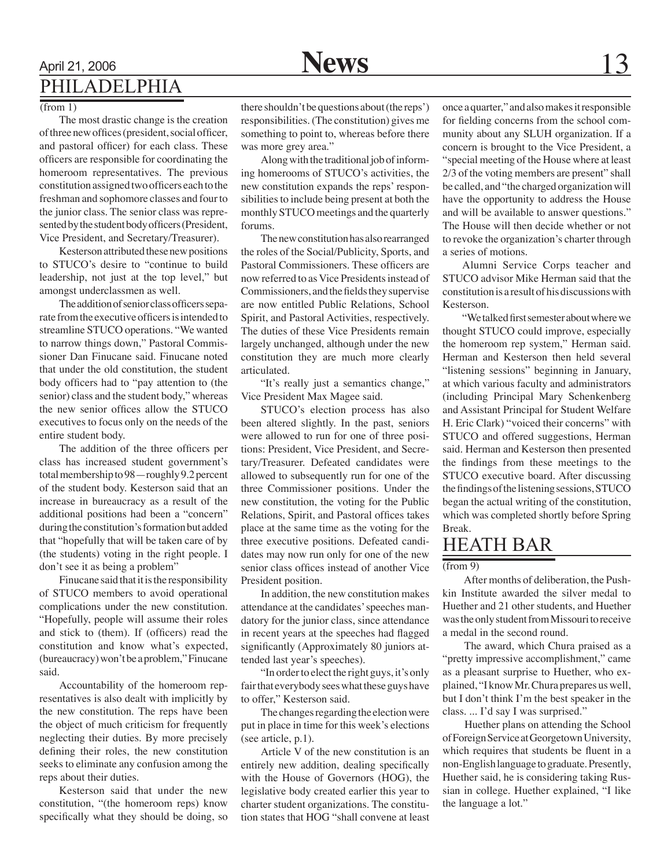# April 21, 2006 **News** 13 PHILADELPHIA

#### $(from 1)$

The most drastic change is the creation of three new offices (president, social officer, and pastoral officer) for each class. These officers are responsible for coordinating the homeroom representatives. The previous constitution assigned two officers each to the freshman and sophomore classes and four to the junior class. The senior class was represented by the student body officers (President, Vice President, and Secretary/Treasurer).

Kesterson attributed these new positions to STUCO's desire to "continue to build leadership, not just at the top level," but amongst underclassmen as well.

The addition of senior class officers separate from the executive officers is intended to streamline STUCO operations. "We wanted to narrow things down," Pastoral Commissioner Dan Finucane said. Finucane noted that under the old constitution, the student body officers had to "pay attention to (the senior) class and the student body," whereas the new senior offices allow the STUCO executives to focus only on the needs of the entire student body.

The addition of the three officers per class has increased student government's total membership to 98—roughly 9.2 percent of the student body. Kesterson said that an increase in bureaucracy as a result of the additional positions had been a "concern" during the constitution's formation but added that "hopefully that will be taken care of by (the students) voting in the right people. I don't see it as being a problem"

Finucane said that it is the responsibility of STUCO members to avoid operational complications under the new constitution. "Hopefully, people will assume their roles and stick to (them). If (officers) read the constitution and know what's expected, (bureaucracy) won't be a problem," Finucane said.

Accountability of the homeroom representatives is also dealt with implicitly by the new constitution. The reps have been the object of much criticism for frequently neglecting their duties. By more precisely defining their roles, the new constitution seeks to eliminate any confusion among the reps about their duties.

Kesterson said that under the new constitution, "(the homeroom reps) know specifically what they should be doing, so

there shouldn't be questions about (the reps') responsibilities. (The constitution) gives me something to point to, whereas before there was more grey area."

Along with the traditional job of informing homerooms of STUCO's activities, the new constitution expands the reps' responsibilities to include being present at both the monthly STUCO meetings and the quarterly forums.

The new constitution has also rearranged the roles of the Social/Publicity, Sports, and Pastoral Commissioners. These officers are now referred to as Vice Presidents instead of Commissioners, and the fields they supervise are now entitled Public Relations, School Spirit, and Pastoral Activities, respectively. The duties of these Vice Presidents remain largely unchanged, although under the new constitution they are much more clearly articulated.

"It's really just a semantics change," Vice President Max Magee said.

STUCO's election process has also been altered slightly. In the past, seniors were allowed to run for one of three positions: President, Vice President, and Secretary/Treasurer. Defeated candidates were allowed to subsequently run for one of the three Commissioner positions. Under the new constitution, the voting for the Public Relations, Spirit, and Pastoral offices takes place at the same time as the voting for the three executive positions. Defeated candidates may now run only for one of the new senior class offices instead of another Vice President position.

In addition, the new constitution makes attendance at the candidates' speeches mandatory for the junior class, since attendance in recent years at the speeches had flagged significantly (Approximately 80 juniors attended last year's speeches).

"In order to elect the right guys, it's only fair that everybody sees what these guys have to offer," Kesterson said.

The changes regarding the election were put in place in time for this week's elections (see article, p.1).

Article V of the new constitution is an entirely new addition, dealing specifically with the House of Governors (HOG), the legislative body created earlier this year to charter student organizations. The constitution states that HOG "shall convene at least

once a quarter," and also makes it responsible for fielding concerns from the school community about any SLUH organization. If a concern is brought to the Vice President, a "special meeting of the House where at least 2/3 of the voting members are present" shall be called, and "the charged organization will have the opportunity to address the House and will be available to answer questions." The House will then decide whether or not to revoke the organization's charter through a series of motions.

Alumni Service Corps teacher and STUCO advisor Mike Herman said that the constitution is a result of his discussions with Kesterson.

"We talked first semester about where we thought STUCO could improve, especially the homeroom rep system," Herman said. Herman and Kesterson then held several "listening sessions" beginning in January, at which various faculty and administrators (including Principal Mary Schenkenberg and Assistant Principal for Student Welfare H. Eric Clark) "voiced their concerns" with STUCO and offered suggestions, Herman said. Herman and Kesterson then presented the findings from these meetings to the STUCO executive board. After discussing the findings of the listening sessions, STUCO began the actual writing of the constitution, which was completed shortly before Spring Break.

# HEATH BAR

#### $(from 9)$

 After months of deliberation, the Pushkin Institute awarded the silver medal to Huether and 21 other students, and Huether was the only student from Missouri to receive a medal in the second round.

 The award, which Chura praised as a "pretty impressive accomplishment," came as a pleasant surprise to Huether, who explained, "I know Mr. Chura prepares us well, but I don't think I'm the best speaker in the class. ... I'd say I was surprised."

 Huether plans on attending the School of Foreign Service at Georgetown University, which requires that students be fluent in a non-English language to graduate. Presently, Huether said, he is considering taking Russian in college. Huether explained, "I like the language a lot."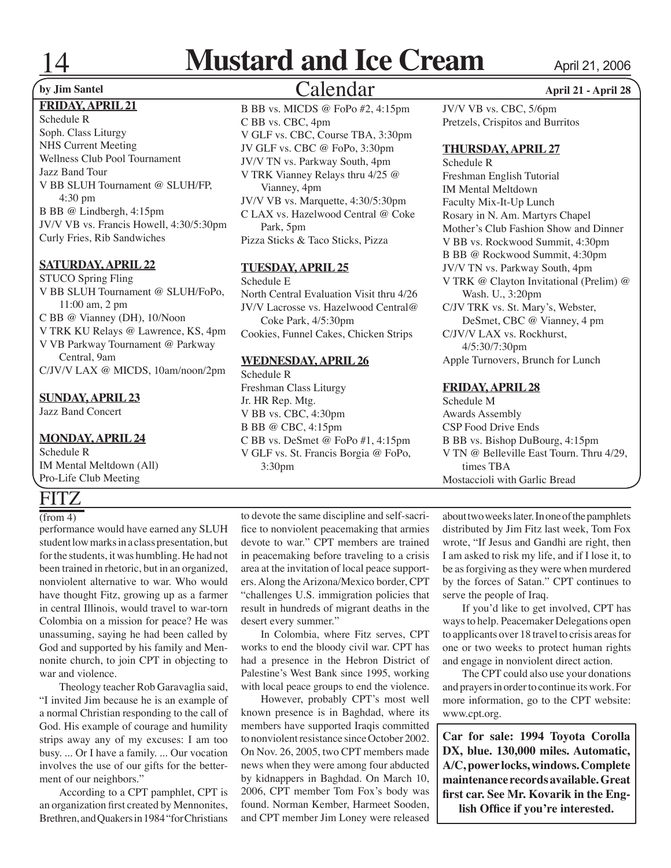# **Mustard and Ice Cream** April 21, 2006

### **FRIDAY, APRIL 21**

Schedule R Soph. Class Liturgy NHS Current Meeting Wellness Club Pool Tournament Jazz Band Tour V BB SLUH Tournament @ SLUH/FP, 4:30 pm B BB @ Lindbergh, 4:15pm JV/V VB vs. Francis Howell, 4:30/5:30pm Curly Fries, Rib Sandwiches

### **SATURDAY, APRIL 22**

STUCO Spring Fling V BB SLUH Tournament @ SLUH/FoPo, 11:00 am, 2 pm C BB @ Vianney (DH), 10/Noon V TRK KU Relays @ Lawrence, KS, 4pm V VB Parkway Tournament @ Parkway Central, 9am C/JV/V LAX @ MICDS, 10am/noon/2pm

#### **SUNDAY, APRIL 23**

Jazz Band Concert

### **MONDAY, APRIL 24**

Schedule R IM Mental Meltdown (All) Pro-Life Club Meeting

# **FITZ**

### $($ from 4 $)$

performance would have earned any SLUH student low marks in a class presentation, but for the students, it was humbling. He had not been trained in rhetoric, but in an organized, nonviolent alternative to war. Who would have thought Fitz, growing up as a farmer in central Illinois, would travel to war-torn Colombia on a mission for peace? He was unassuming, saying he had been called by God and supported by his family and Mennonite church, to join CPT in objecting to war and violence.

Theology teacher Rob Garavaglia said, "I invited Jim because he is an example of a normal Christian responding to the call of God. His example of courage and humility strips away any of my excuses: I am too busy. ... Or I have a family. ... Our vocation involves the use of our gifts for the betterment of our neighbors."

According to a CPT pamphlet, CPT is an organization first created by Mennonites, Brethren, and Quakers in 1984 "for Christians

# Calendar **by Jim Santel April 21 - April 28**

B BB vs. MICDS @ FoPo #2, 4:15pm C BB vs. CBC, 4pm V GLF vs. CBC, Course TBA, 3:30pm JV GLF vs. CBC @ FoPo, 3:30pm JV/V TN vs. Parkway South, 4pm V TRK Vianney Relays thru 4/25 @ Vianney, 4pm JV/V VB vs. Marquette, 4:30/5:30pm C LAX vs. Hazelwood Central @ Coke Park, 5pm Pizza Sticks & Taco Sticks, Pizza

### **TUESDAY, APRIL 25**

Schedule E North Central Evaluation Visit thru 4/26 JV/V Lacrosse vs. Hazelwood Central@ Coke Park, 4/5:30pm Cookies, Funnel Cakes, Chicken Strips

#### **WEDNESDAY, APRIL 26**

Schedule R

Freshman Class Liturgy Jr. HR Rep. Mtg. V BB vs. CBC, 4:30pm B BB @ CBC, 4:15pm C BB vs. DeSmet @ FoPo #1, 4:15pm V GLF vs. St. Francis Borgia @ FoPo, 3:30pm

JV/V VB vs. CBC, 5/6pm Pretzels, Crispitos and Burritos

#### **THURSDAY, APRIL 27**

Schedule R Freshman English Tutorial IM Mental Meltdown Faculty Mix-It-Up Lunch Rosary in N. Am. Martyrs Chapel Mother's Club Fashion Show and Dinner V BB vs. Rockwood Summit, 4:30pm B BB @ Rockwood Summit, 4:30pm JV/V TN vs. Parkway South, 4pm V TRK @ Clayton Invitational (Prelim) @ Wash. U., 3:20pm C/JV TRK vs. St. Mary's, Webster, DeSmet, CBC @ Vianney, 4 pm C/JV/V LAX vs. Rockhurst, 4/5:30/7:30pm Apple Turnovers, Brunch for Lunch

### **FRIDAY, APRIL 28**

Schedule M Awards Assembly CSP Food Drive Ends B BB vs. Bishop DuBourg, 4:15pm V TN @ Belleville East Tourn. Thru 4/29, times TBA Mostaccioli with Garlic Bread

to devote the same discipline and self-sacrifice to nonviolent peacemaking that armies devote to war." CPT members are trained in peacemaking before traveling to a crisis area at the invitation of local peace supporters. Along the Arizona/Mexico border, CPT "challenges U.S. immigration policies that result in hundreds of migrant deaths in the desert every summer."

In Colombia, where Fitz serves, CPT works to end the bloody civil war. CPT has had a presence in the Hebron District of Palestine's West Bank since 1995, working with local peace groups to end the violence.

However, probably CPT's most well known presence is in Baghdad, where its members have supported Iraqis committed to nonviolent resistance since October 2002. On Nov. 26, 2005, two CPT members made news when they were among four abducted by kidnappers in Baghdad. On March 10, 2006, CPT member Tom Fox's body was found. Norman Kember, Harmeet Sooden, and CPT member Jim Loney were released about two weeks later. In one of the pamphlets distributed by Jim Fitz last week, Tom Fox wrote, "If Jesus and Gandhi are right, then I am asked to risk my life, and if I lose it, to be as forgiving as they were when murdered by the forces of Satan." CPT continues to serve the people of Iraq.

If you'd like to get involved, CPT has ways to help. Peacemaker Delegations open to applicants over 18 travel to crisis areas for one or two weeks to protect human rights and engage in nonviolent direct action.

The CPT could also use your donations and prayers in order to continue its work. For more information, go to the CPT website: www.cpt.org.

**Car for sale: 1994 Toyota Corolla DX, blue. 130,000 miles. Automatic, A/C, power locks, windows. Complete maintenance records available. Great first car. See Mr. Kovarik in the English Office if you're interested.**